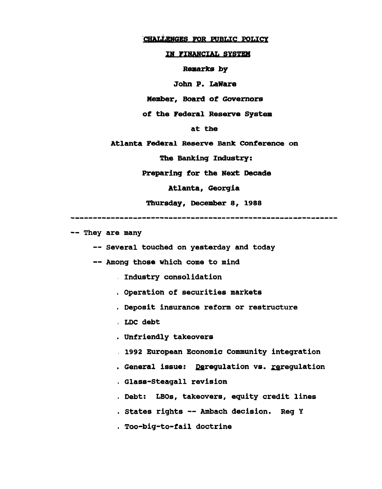## **CHALLENGES FOR PUBLIC POLICY**

## IK FINANCIAL SYSTEM

**Remarks** by

John P. LaWare

Member, Board of Governors

of the Federal Reserve System

at the

Atlanta Federal Reserve Bank Conference on

The Banking Industry:

Preparing for the Next Decade

Atlanta, Georgia

Thursday, December 8, 1988

-- They are many

— Several touched on yesterday and today

-- Among those which come to mind

Industry consolidation

, Operation of securities markets

. Deposit insurance reform or restructure

, LDC debt

. Unfriendly takeovers

1992 European Economic Community integration

. General issue: Deregulation vs. reregulation

. Glass-Steagall revision

. Debt: LBOs, takeovers, equity credit lines

. States rights — Ambach decision. Reg Y

. Too-big-to-fail doctrine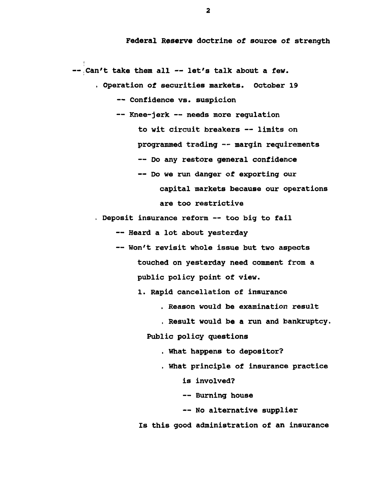Federal Reserve doctrine of source of strength

— Can't take them all — let's talk about a few.

!

. Operation of securities markets. October 19 -- Confidence vs. suspicion

— Knee-jerk — needs more regulation to wit circuit breakers — limits on programmed trading — margin requirements -- Do any restore general confidence — Do we run danger of exporting our capital markets because our operations are too restrictive

. Deposit insurance reform -- too big to fail

— Heard a lot about yesterday

— Won't revisit whole issue but two aspects touched on yesterday need comment from a public policy point of view.

1. Rapid cancellation of insurance

- . Reason would be examination result
- , Result would be a run and bankruptcy.

Public policy questions

. What happens to depositor?

. What principle of insurance practice

is involved?

— Burning house

-- No alternative supplier

Is this good administration of an insurance

**2**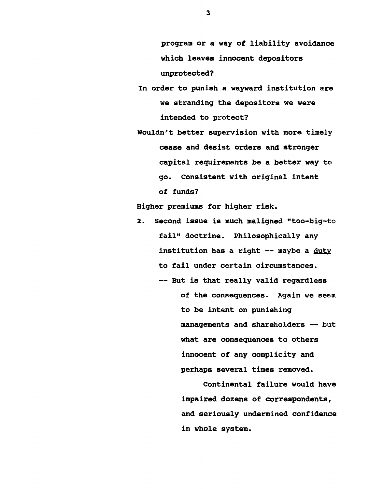program or a way of liability avoidance which leaves innocent depositors unprotected?

In order to punish a wayward institution are we stranding the depositors we were intended to protect?

Wouldn't better supervision with more timely cease and desist orders and stronger capital requirements be a better way to go. Consistent with original intent of funds?

Higher premiums for higher risk.

2. Second issue is much maligned "too-big-to fail" doctrine. Philosophically any institution has a right -- maybe a duty to fail under certain circumstances.

> -- But is that really valid regardless of the consequences. Again we seem to be intent on punishing managements and shareholders — but what are consequences to others innocent of any complicity and perhaps several times removed.

> > Continental failure would have impaired dozens of correspondents, and seriously undermined confidence in whole system.

**3**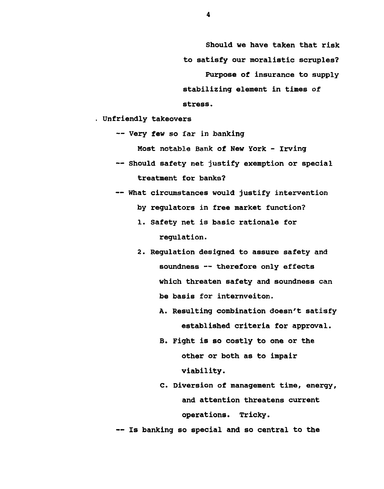Should we have taken that risk to satisfy our moralistic scruples? Purpose of insurance to supply stabilizing element in times of stress.

. Unfriendly takeovers

— Very few so far in banking

Most notable Bank of New York - Irving

- Should safety net justify exemption or special treatment for banks?
- What circumstances would justify intervention by regulators in free market function?
	- 1. Safety net is basic rationale for regulation.
	- 2. Regulation designed to assure safety and soundness -- therefore only effects which threaten safety and soundness can be basis for internveiton.
		- A. Resulting combination doesn't satisfy established criteria for approval.
		- B. Fight is so costly to one or the other or both as to impair viability.
		- C. Diversion of management time, energy, and attention threatens current operations. Tricky.

— Is banking so special and so central to the

**4**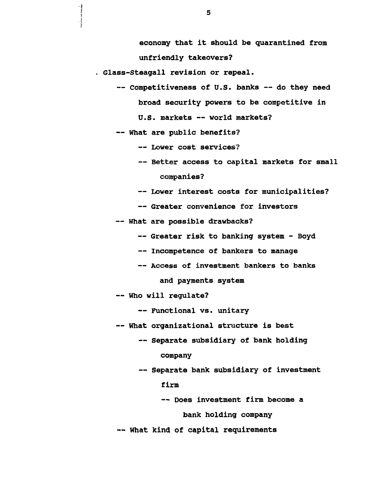economy that it should be quarantined from unfriendly takeovers?

Glass-Steagall revision or repeal.

— Competitiveness of U.S. banks — do they need broad security powers to be competitive in

U.S. markets — world markets?

— What are public benefits?

— Lower cost services?

- Better access to capital markets for small companies?
- Lower interest costs for municipalities?
- Greater convenience for investors

— What are possible drawbacks?

- -- Greater risk to banking system Boyd
- Incompetence of bankers to manage
- Access of investment bankers to banks

and payments system

— Who will regulate?

— Functional vs. unitary

- What organizational structure is best
	- Separate subsidiary of bank holding company
	- Separate bank subsidiary of investment firm
		- Does investment firm become a bank holding company

— What kind of capital requirements